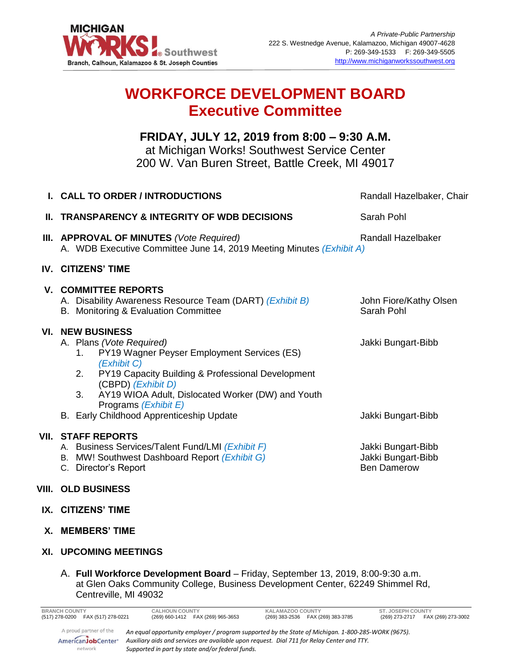

## **WORKFORCE DEVELOPMENT BOARD Executive Committee**

## **FRIDAY, JULY 12, 2019 from 8:00 – 9:30 A.M.**

at Michigan Works! Southwest Service Center 200 W. Van Buren Street, Battle Creek, MI 49017

|    | <b>I. CALL TO ORDER / INTRODUCTIONS</b>                                                                                                                                                                                                                                                     | Randall Hazelbaker, Chair                                      |
|----|---------------------------------------------------------------------------------------------------------------------------------------------------------------------------------------------------------------------------------------------------------------------------------------------|----------------------------------------------------------------|
| Ш. | <b>TRANSPARENCY &amp; INTEGRITY OF WDB DECISIONS</b>                                                                                                                                                                                                                                        | Sarah Pohl                                                     |
|    | <b>III. APPROVAL OF MINUTES</b> (Vote Required)<br>A. WDB Executive Committee June 14, 2019 Meeting Minutes (Exhibit A)                                                                                                                                                                     | Randall Hazelbaker                                             |
|    | <b>IV. CITIZENS' TIME</b>                                                                                                                                                                                                                                                                   |                                                                |
|    | <b>V. COMMITTEE REPORTS</b><br>A. Disability Awareness Resource Team (DART) (Exhibit B)<br>B. Monitoring & Evaluation Committee                                                                                                                                                             | John Fiore/Kathy Olsen<br>Sarah Pohl                           |
|    | <b>VI. NEW BUSINESS</b><br>A. Plans (Vote Required)<br>PY19 Wagner Peyser Employment Services (ES)<br>1.<br>(Exhibit C)<br>2.<br>PY19 Capacity Building & Professional Development<br>(CBPD) (Exhibit D)<br>3.<br>AY19 WIOA Adult, Dislocated Worker (DW) and Youth<br>Programs (Exhibit E) | Jakki Bungart-Bibb                                             |
|    | B. Early Childhood Apprenticeship Update                                                                                                                                                                                                                                                    | Jakki Bungart-Bibb                                             |
|    | <b>VII. STAFF REPORTS</b><br>A. Business Services/Talent Fund/LMI (Exhibit F)<br>B. MW! Southwest Dashboard Report (Exhibit G)<br>C. Director's Report                                                                                                                                      | Jakki Bungart-Bibb<br>Jakki Bungart-Bibb<br><b>Ben Damerow</b> |
|    | <b>VIII. OLD BUSINESS</b>                                                                                                                                                                                                                                                                   |                                                                |

- **IX. CITIZENS' TIME**
- **X. MEMBERS' TIME**
- **XI. UPCOMING MEETINGS**
	- A. **Full Workforce Development Board**  Friday, September 13, 2019, 8:00-9:30 a.m. at Glen Oaks Community College, Business Development Center, 62249 Shimmel Rd, Centreville, MI 49032

| <b>BRANCH COUNTY</b>                                    | <b>CALHOUN COUNTY</b>                                                                                                                                                                                                                                |  | KALAMAZOO COUNTY                   |  | ST. JOSEPH COUNTY                    |  |
|---------------------------------------------------------|------------------------------------------------------------------------------------------------------------------------------------------------------------------------------------------------------------------------------------------------------|--|------------------------------------|--|--------------------------------------|--|
| (517) 278-0200 FAX (517) 278-0221                       | (269) 660-1412  FAX (269) 965-3653                                                                                                                                                                                                                   |  | (269) 383-2536  FAX (269) 383-3785 |  | (269) 273-2717    FAX (269) 273-3002 |  |
| A proud partner of the<br>AmericanJobCenter*<br>network | An equal opportunity employer / program supported by the State of Michigan. 1-800-285-WORK (9675).<br>Auxiliary aids and services are available upon request. Dial 711 for Relay Center and TTY.<br>Supported in part by state and/or federal funds. |  |                                    |  |                                      |  |